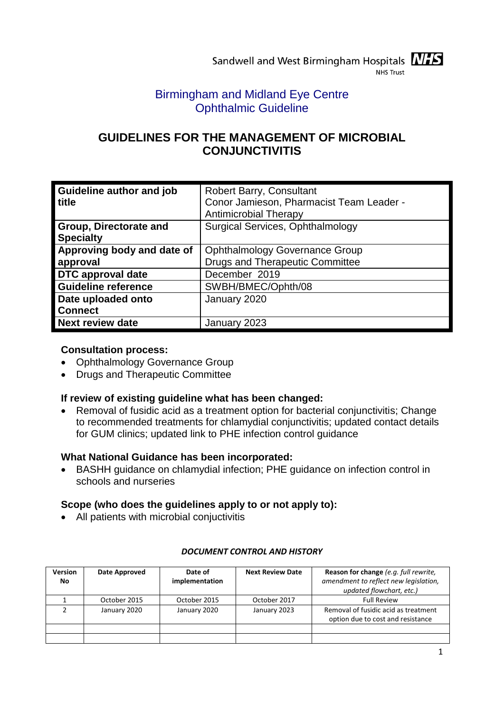# Birmingham and Midland Eye Centre Ophthalmic Guideline

# **GUIDELINES FOR THE MANAGEMENT OF MICROBIAL CONJUNCTIVITIS**

| Guideline author and job<br>title          | <b>Robert Barry, Consultant</b><br>Conor Jamieson, Pharmacist Team Leader -<br><b>Antimicrobial Therapy</b> |
|--------------------------------------------|-------------------------------------------------------------------------------------------------------------|
| Group, Directorate and<br><b>Specialty</b> | Surgical Services, Ophthalmology                                                                            |
| Approving body and date of                 | <b>Ophthalmology Governance Group</b>                                                                       |
| approval                                   | <b>Drugs and Therapeutic Committee</b>                                                                      |
| <b>DTC</b> approval date                   | December 2019                                                                                               |
| <b>Guideline reference</b>                 | SWBH/BMEC/Ophth/08                                                                                          |
| Date uploaded onto                         | January 2020                                                                                                |
| <b>Connect</b>                             |                                                                                                             |
| <b>Next review date</b>                    | January 2023                                                                                                |

## **Consultation process:**

- Ophthalmology Governance Group
- Drugs and Therapeutic Committee

## **If review of existing guideline what has been changed:**

 Removal of fusidic acid as a treatment option for bacterial conjunctivitis; Change to recommended treatments for chlamydial conjunctivitis; updated contact details for GUM clinics; updated link to PHE infection control guidance

## **What National Guidance has been incorporated:**

 BASHH guidance on chlamydial infection; PHE guidance on infection control in schools and nurseries

## **Scope (who does the guidelines apply to or not apply to):**

All patients with microbial conjuctivitis

| <b>Version</b><br>No | Date Approved | Date of<br>implementation | <b>Next Review Date</b> | Reason for change (e.g. full rewrite,<br>amendment to reflect new legislation,<br>updated flowchart, etc.) |
|----------------------|---------------|---------------------------|-------------------------|------------------------------------------------------------------------------------------------------------|
|                      | October 2015  | October 2015              | October 2017            | <b>Full Review</b>                                                                                         |
|                      | January 2020  | January 2020              | January 2023            | Removal of fusidic acid as treatment<br>option due to cost and resistance                                  |
|                      |               |                           |                         |                                                                                                            |
|                      |               |                           |                         |                                                                                                            |

## *DOCUMENT CONTROL AND HISTORY*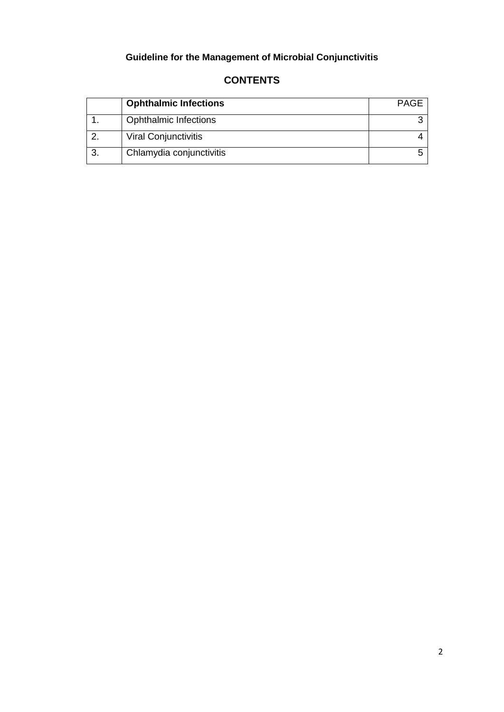# **Guideline for the Management of Microbial Conjunctivitis**

| <b>Ophthalmic Infections</b> | <b>PAGE</b> |
|------------------------------|-------------|
| <b>Ophthalmic Infections</b> |             |
| <b>Viral Conjunctivitis</b>  |             |
| Chlamydia conjunctivitis     |             |

## **CONTENTS**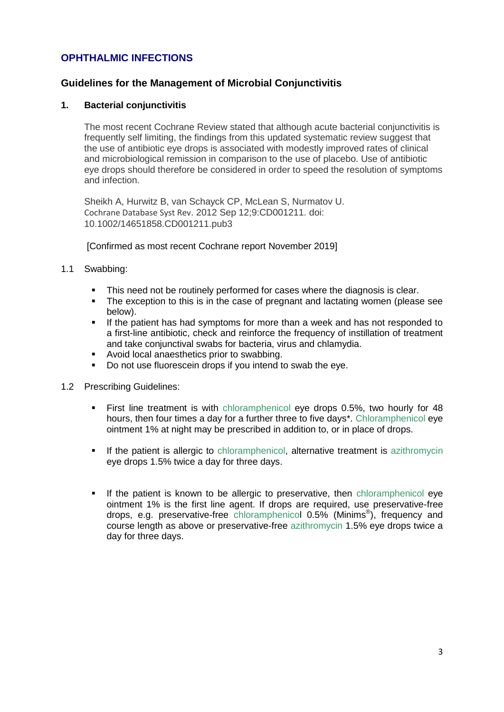## **OPHTHALMIC INFECTIONS**

## **Guidelines for the Management of Microbial Conjunctivitis**

#### **1. Bacterial conjunctivitis**

The most recent Cochrane Review stated that although acute bacterial conjunctivitis is frequently self limiting, the findings from this updated systematic review suggest that the use of antibiotic eye drops is associated with modestly improved rates of clinical and microbiological remission in comparison to the use of placebo. Use of antibiotic eye drops should therefore be considered in order to speed the resolution of symptoms and infection.

Sheikh A, Hurwitz B, van Schayck CP, McLean S, Nurmatov U. Cochrane Database Syst Rev. 2012 Sep 12;9:CD001211. doi: 10.1002/14651858.CD001211.pub3

[Confirmed as most recent Cochrane report November 2019]

- 1.1 Swabbing:
	- This need not be routinely performed for cases where the diagnosis is clear.
	- The exception to this is in the case of pregnant and lactating women (please see below).
	- If the patient has had symptoms for more than a week and has not responded to a first-line antibiotic, check and reinforce the frequency of instillation of treatment and take conjunctival swabs for bacteria, virus and chlamydia.
	- Avoid local anaesthetics prior to swabbing.
	- Do not use fluorescein drops if you intend to swab the eye.
- 1.2 Prescribing Guidelines:
	- First line treatment is with chloramphenicol eye drops 0.5%, two hourly for 48 hours, then four times a day for a further three to five days\*. Chloramphenicol eye ointment 1% at night may be prescribed in addition to, or in place of drops.
	- If the patient is allergic to chloramphenicol, alternative treatment is azithromycin eye drops 1.5% twice a day for three days.
	- If the patient is known to be allergic to preservative, then chloramphenicol eye ointment 1% is the first line agent. If drops are required, use preservative-free drops, e.g. preservative-free chloramphenicol 0.5% (Minims® ), frequency and course length as above or preservative-free azithromycin 1.5% eye drops twice a day for three days.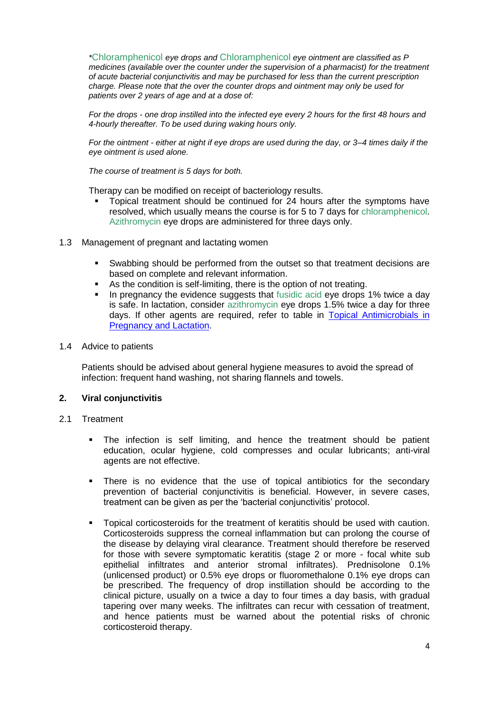*\**Chloramphenicol *eye drops and* Chloramphenicol *eye ointment are classified as P medicines (available over the counter under the supervision of a pharmacist) for the treatment of acute bacterial conjunctivitis and may be purchased for less than the current prescription charge. Please note that the over the counter drops and ointment may only be used for patients over 2 years of age and at a dose of:* 

*For the drops - one drop instilled into the infected eye every 2 hours for the first 48 hours and 4-hourly thereafter. To be used during waking hours only.* 

*For the ointment - either at night if eye drops are used during the day, or 3–4 times daily if the eye ointment is used alone.* 

*The course of treatment is 5 days for both.* 

Therapy can be modified on receipt of bacteriology results.

- Topical treatment should be continued for 24 hours after the symptoms have resolved, which usually means the course is for 5 to 7 days for chloramphenicol. Azithromycin eye drops are administered for three days only.
- 1.3 Management of pregnant and lactating women
	- Swabbing should be performed from the outset so that treatment decisions are based on complete and relevant information.
	- As the condition is self-limiting, there is the option of not treating.
	- In pregnancy the evidence suggests that fusidic acid eye drops 1% twice a day is safe. In lactation, consider azithromycin eye drops 1.5% twice a day for three days. If other agents are required, refer to table in [Topical Antimicrobials in](http://connect2.swbh.nhs.uk/wp-content/uploads/2016/07/Topical-Ophthalmic-Antimicrobials-in-Pregnancy-and-Lactation-BMECOphth036-SWBH.pdf?x15561)  [Pregnancy and Lactation.](http://connect2.swbh.nhs.uk/wp-content/uploads/2016/07/Topical-Ophthalmic-Antimicrobials-in-Pregnancy-and-Lactation-BMECOphth036-SWBH.pdf?x15561)
- 1.4 Advice to patients

Patients should be advised about general hygiene measures to avoid the spread of infection: frequent hand washing, not sharing flannels and towels.

#### **2. Viral conjunctivitis**

- 2.1 Treatment
	- The infection is self limiting, and hence the treatment should be patient education, ocular hygiene, cold compresses and ocular lubricants; anti-viral agents are not effective.
	- There is no evidence that the use of topical antibiotics for the secondary prevention of bacterial conjunctivitis is beneficial. However, in severe cases, treatment can be given as per the 'bacterial conjunctivitis' protocol.
	- Topical corticosteroids for the treatment of keratitis should be used with caution. Corticosteroids suppress the corneal inflammation but can prolong the course of the disease by delaying viral clearance. Treatment should therefore be reserved for those with severe symptomatic keratitis (stage 2 or more - focal white sub epithelial infiltrates and anterior stromal infiltrates). Prednisolone 0.1% (unlicensed product) or 0.5% eye drops or fluoromethalone 0.1% eye drops can be prescribed. The frequency of drop instillation should be according to the clinical picture, usually on a twice a day to four times a day basis, with gradual tapering over many weeks. The infiltrates can recur with cessation of treatment, and hence patients must be warned about the potential risks of chronic corticosteroid therapy.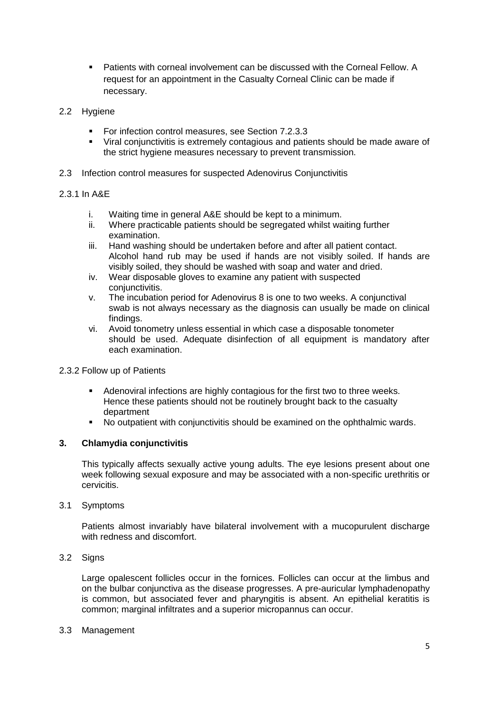- Patients with corneal involvement can be discussed with the Corneal Fellow. A request for an appointment in the Casualty Corneal Clinic can be made if necessary.
- 2.2 Hygiene
	- For infection control measures, see Section 7.2.3.3
	- Viral conjunctivitis is extremely contagious and patients should be made aware of the strict hygiene measures necessary to prevent transmission.
- 2.3 Infection control measures for suspected Adenovirus Conjunctivitis

#### 2.3.1 In A&E

- i. Waiting time in general A&E should be kept to a minimum.
- ii. Where practicable patients should be segregated whilst waiting further examination.
- iii. Hand washing should be undertaken before and after all patient contact. Alcohol hand rub may be used if hands are not visibly soiled. If hands are visibly soiled, they should be washed with soap and water and dried.
- iv. Wear disposable gloves to examine any patient with suspected conjunctivitis.
- v. The incubation period for Adenovirus 8 is one to two weeks. A conjunctival swab is not always necessary as the diagnosis can usually be made on clinical findings.
- vi. Avoid tonometry unless essential in which case a disposable tonometer should be used. Adequate disinfection of all equipment is mandatory after each examination.

#### 2.3.2 Follow up of Patients

- Adenoviral infections are highly contagious for the first two to three weeks. Hence these patients should not be routinely brought back to the casualty department
- No outpatient with conjunctivitis should be examined on the ophthalmic wards.

### **3. Chlamydia conjunctivitis**

This typically affects sexually active young adults. The eye lesions present about one week following sexual exposure and may be associated with a non-specific urethritis or cervicitis.

#### 3.1 Symptoms

Patients almost invariably have bilateral involvement with a mucopurulent discharge with redness and discomfort.

#### 3.2 Signs

Large opalescent follicles occur in the fornices. Follicles can occur at the limbus and on the bulbar conjunctiva as the disease progresses. A pre-auricular lymphadenopathy is common, but associated fever and pharyngitis is absent. An epithelial keratitis is common; marginal infiltrates and a superior micropannus can occur.

#### 3.3 Management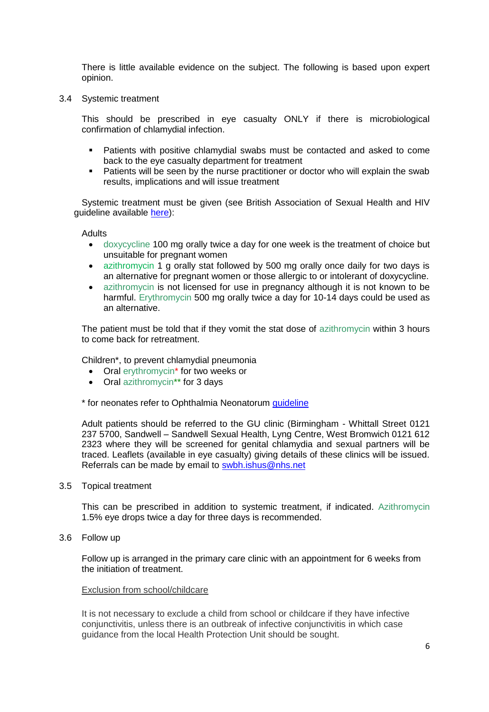There is little available evidence on the subject. The following is based upon expert opinion.

3.4 Systemic treatment

This should be prescribed in eye casualty ONLY if there is microbiological confirmation of chlamydial infection.

- Patients with positive chlamydial swabs must be contacted and asked to come back to the eye casualty department for treatment
- Patients will be seen by the nurse practitioner or doctor who will explain the swab results, implications and will issue treatment

Systemic treatment must be given (see British Association of Sexual Health and HIV guideline available [here\)](https://www.bashhguidelines.org/media/1191/update-on-the-treatment-of-chlamydia-trachomatis-infection-final-16-9-18.pdf):

**Adults** 

- doxycycline 100 mg orally twice a day for one week is the treatment of choice but unsuitable for pregnant women
- azithromycin 1 g orally stat followed by 500 mg orally once daily for two days is an alternative for pregnant women or those allergic to or intolerant of doxycycline.
- azithromycin is not licensed for use in pregnancy although it is not known to be harmful. Erythromycin 500 mg orally twice a day for 10-14 days could be used as an alternative.

The patient must be told that if they vomit the stat dose of azithromycin within 3 hours to come back for retreatment.

Children\*, to prevent chlamydial pneumonia

- Oral erythromycin<sup>\*</sup> for two weeks or
- Oral azithromycin<sup>\*\*</sup> for 3 days

\* for neonates refer to Ophthalmia Neonatorum [guideline](http://connect2.swbh.nhs.uk/wp-content/uploads/2016/07/Ophthalmia-Neonatorum-BMEC-NNU045.pdf?x15561)

Adult patients should be referred to the GU clinic (Birmingham - Whittall Street 0121 237 5700, Sandwell – Sandwell Sexual Health, Lyng Centre, West Bromwich 0121 612 2323 where they will be screened for genital chlamydia and sexual partners will be traced. Leaflets (available in eye casualty) giving details of these clinics will be issued. Referrals can be made by email to [swbh.ishus@nhs.net](mailto:swbh.ishus@nhs.net)

3.5 Topical treatment

This can be prescribed in addition to systemic treatment, if indicated. Azithromycin 1.5% eye drops twice a day for three days is recommended.

3.6 Follow up

Follow up is arranged in the primary care clinic with an appointment for 6 weeks from the initiation of treatment.

#### Exclusion from school/childcare

It is not necessary to exclude a child from school or childcare if they have infective conjunctivitis, unless there is an outbreak of infective conjunctivitis in which case guidance from the local Health Protection Unit should be sought.